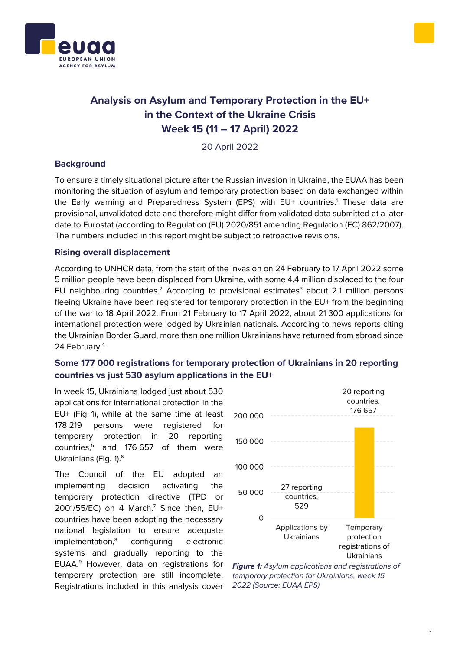



# **Analysis on Asylum and Temporary Protection in the EU+ in the Context of the Ukraine Crisis Week 15 (11 – 17 April) 2022**

20 April 2022

### **Background**

To ensure a timely situational picture after the Russian invasion in Ukraine, the EUAA has been monitoring the situation of asylum and temporary protection based on data exchanged within the Early warning and Preparedness System (EPS) with EU+ countries.<sup>1</sup> These data are provisional, unvalidated data and therefore might differ from validated data submitted at a later date to Eurostat (according to Regulation (EU) 2020/851 amending Regulation (EC) 862/2007). The numbers included in this report might be subject to retroactive revisions.

### **Rising overall displacement**

According to UNHCR data, from the start of the invasion on 24 February to 17 April 2022 some 5 million people have been displaced from Ukraine, with some 4.4 million displaced to the four EU neighbouring countries.<sup>2</sup> According to provisional estimates<sup>3</sup> about 2.1 million persons fleeing Ukraine have been registered for temporary protection in the EU+ from the beginning of the war to 18 April 2022. From 21 February to 17 April 2022, about 21 300 applications for international protection were lodged by Ukrainian nationals. According to news reports citing the Ukrainian Border Guard, more than one million Ukrainians have returned from abroad since 24 February.<sup>4</sup>

## **Some 177 000 registrations for temporary protection of Ukrainians in 20 reporting countries vs just 530 asylum applications in the EU+**

In week 15, Ukrainians lodged just about 530 applications for international protection in the EU+ (Fig. 1), while at the same time at least 178 219 persons were registered for temporary protection in 20 reporting countries,<sup>5</sup> and 176 657 of them were Ukrainians (Fig. 1).<sup>6</sup>

The Council of the EU adopted an implementing decision activating the temporary protection directive (TPD or  $2001/55/EC$ ) on 4 March.<sup>7</sup> Since then, EU+ countries have been adopting the necessary national legislation to ensure adequate implementation,<sup>8</sup> configuring electronic systems and gradually reporting to the EUAA.<sup>9</sup> However, data on registrations for temporary protection are still incomplete. Registrations included in this analysis cover



*Figure 1: Asylum applications and registrations of temporary protection for Ukrainians, week 15 2022 (Source: EUAA EPS)*